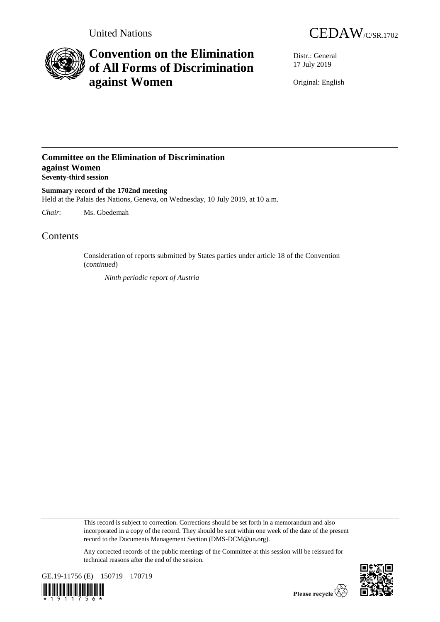



# **Convention on the Elimination of All Forms of Discrimination against Women**

Distr.: General 17 July 2019

Original: English

### **Committee on the Elimination of Discrimination against Women Seventy-third session**

**Summary record of the 1702nd meeting** Held at the Palais des Nations, Geneva, on Wednesday, 10 July 2019, at 10 a.m.

*Chair*: Ms. Gbedemah

## Contents

Consideration of reports submitted by States parties under article 18 of the Convention (*continued*)

*Ninth periodic report of Austria*

This record is subject to correction. Corrections should be set forth in a memorandum and also incorporated in a copy of the record. They should be sent within one week of the date of the present record to the Documents Management Section (DMS-DCM@un.org).

Any corrected records of the public meetings of the Committee at this session will be reissued for technical reasons after the end of the session.



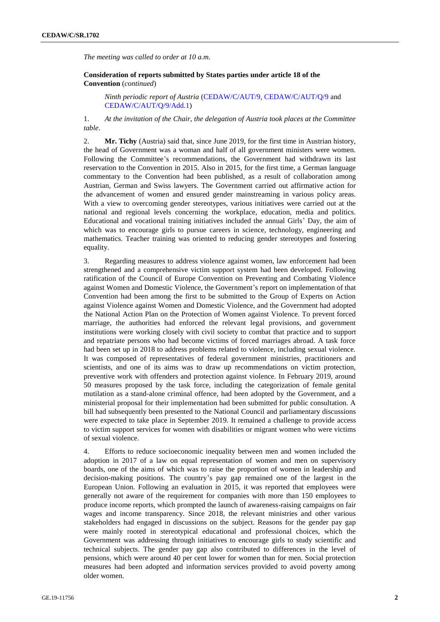*The meeting was called to order at 10 a.m.*

**Consideration of reports submitted by States parties under article 18 of the Convention** (*continued*)

*Ninth periodic report of Austria* [\(CEDAW/C/AUT/9,](http://undocs.org/en/CEDAW/C/AUT/9) [CEDAW/C/AUT/Q/9](http://undocs.org/en/CEDAW/C/AUT/Q/9) and [CEDAW/C/AUT/Q/9/Add.1\)](http://undocs.org/en/CEDAW/C/AUT/Q/9/Add.1)

1. *At the invitation of the Chair, the delegation of Austria took places at the Committee table*.

2. **Mr. Tichy** (Austria) said that, since June 2019, for the first time in Austrian history, the head of Government was a woman and half of all government ministers were women. Following the Committee's recommendations, the Government had withdrawn its last reservation to the Convention in 2015. Also in 2015, for the first time, a German language commentary to the Convention had been published, as a result of collaboration among Austrian, German and Swiss lawyers. The Government carried out affirmative action for the advancement of women and ensured gender mainstreaming in various policy areas. With a view to overcoming gender stereotypes, various initiatives were carried out at the national and regional levels concerning the workplace, education, media and politics. Educational and vocational training initiatives included the annual Girls' Day, the aim of which was to encourage girls to pursue careers in science, technology, engineering and mathematics. Teacher training was oriented to reducing gender stereotypes and fostering equality.

3. Regarding measures to address violence against women, law enforcement had been strengthened and a comprehensive victim support system had been developed. Following ratification of the Council of Europe Convention on Preventing and Combating Violence against Women and Domestic Violence, the Government's report on implementation of that Convention had been among the first to be submitted to the Group of Experts on Action against Violence against Women and Domestic Violence, and the Government had adopted the National Action Plan on the Protection of Women against Violence. To prevent forced marriage, the authorities had enforced the relevant legal provisions, and government institutions were working closely with civil society to combat that practice and to support and repatriate persons who had become victims of forced marriages abroad. A task force had been set up in 2018 to address problems related to violence, including sexual violence. It was composed of representatives of federal government ministries, practitioners and scientists, and one of its aims was to draw up recommendations on victim protection, preventive work with offenders and protection against violence. In February 2019, around 50 measures proposed by the task force, including the categorization of female genital mutilation as a stand-alone criminal offence, had been adopted by the Government, and a ministerial proposal for their implementation had been submitted for public consultation. A bill had subsequently been presented to the National Council and parliamentary discussions were expected to take place in September 2019. It remained a challenge to provide access to victim support services for women with disabilities or migrant women who were victims of sexual violence.

4. Efforts to reduce socioeconomic inequality between men and women included the adoption in 2017 of a law on equal representation of women and men on supervisory boards, one of the aims of which was to raise the proportion of women in leadership and decision-making positions. The country's pay gap remained one of the largest in the European Union. Following an evaluation in 2015, it was reported that employees were generally not aware of the requirement for companies with more than 150 employees to produce income reports, which prompted the launch of awareness-raising campaigns on fair wages and income transparency. Since 2018, the relevant ministries and other various stakeholders had engaged in discussions on the subject. Reasons for the gender pay gap were mainly rooted in stereotypical educational and professional choices, which the Government was addressing through initiatives to encourage girls to study scientific and technical subjects. The gender pay gap also contributed to differences in the level of pensions, which were around 40 per cent lower for women than for men. Social protection measures had been adopted and information services provided to avoid poverty among older women.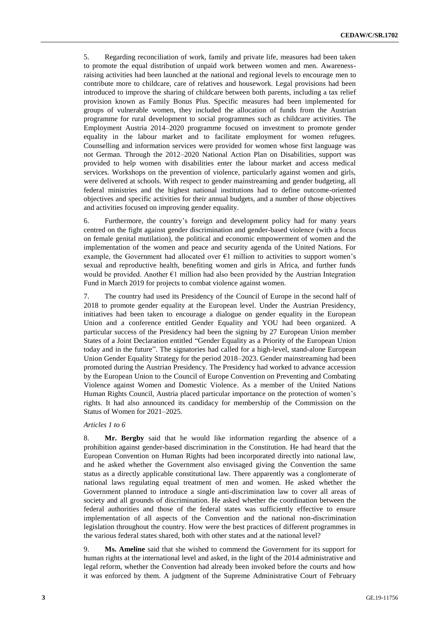5. Regarding reconciliation of work, family and private life, measures had been taken to promote the equal distribution of unpaid work between women and men. Awarenessraising activities had been launched at the national and regional levels to encourage men to contribute more to childcare, care of relatives and housework. Legal provisions had been introduced to improve the sharing of childcare between both parents, including a tax relief provision known as Family Bonus Plus. Specific measures had been implemented for groups of vulnerable women, they included the allocation of funds from the Austrian programme for rural development to social programmes such as childcare activities. The Employment Austria 2014–2020 programme focused on investment to promote gender equality in the labour market and to facilitate employment for women refugees. Counselling and information services were provided for women whose first language was not German. Through the 2012–2020 National Action Plan on Disabilities, support was provided to help women with disabilities enter the labour market and access medical services. Workshops on the prevention of violence, particularly against women and girls, were delivered at schools. With respect to gender mainstreaming and gender budgeting, all federal ministries and the highest national institutions had to define outcome-oriented objectives and specific activities for their annual budgets, and a number of those objectives and activities focused on improving gender equality.

6. Furthermore, the country's foreign and development policy had for many years centred on the fight against gender discrimination and gender-based violence (with a focus on female genital mutilation), the political and economic empowerment of women and the implementation of the women and peace and security agenda of the United Nations. For example, the Government had allocated over  $E1$  million to activities to support women's sexual and reproductive health, benefiting women and girls in Africa, and further funds would be provided. Another  $E1$  million had also been provided by the Austrian Integration Fund in March 2019 for projects to combat violence against women.

7. The country had used its Presidency of the Council of Europe in the second half of 2018 to promote gender equality at the European level. Under the Austrian Presidency, initiatives had been taken to encourage a dialogue on gender equality in the European Union and a conference entitled Gender Equality and YOU had been organized. A particular success of the Presidency had been the signing by 27 European Union member States of a Joint Declaration entitled "Gender Equality as a Priority of the European Union today and in the future". The signatories had called for a high-level, stand-alone European Union Gender Equality Strategy for the period 2018–2023. Gender mainstreaming had been promoted during the Austrian Presidency. The Presidency had worked to advance accession by the European Union to the Council of Europe Convention on Preventing and Combating Violence against Women and Domestic Violence. As a member of the United Nations Human Rights Council, Austria placed particular importance on the protection of women's rights. It had also announced its candidacy for membership of the Commission on the Status of Women for 2021–2025.

#### *Articles 1 to 6*

8. **Mr. Bergby** said that he would like information regarding the absence of a prohibition against gender-based discrimination in the Constitution. He had heard that the European Convention on Human Rights had been incorporated directly into national law, and he asked whether the Government also envisaged giving the Convention the same status as a directly applicable constitutional law. There apparently was a conglomerate of national laws regulating equal treatment of men and women. He asked whether the Government planned to introduce a single anti-discrimination law to cover all areas of society and all grounds of discrimination. He asked whether the coordination between the federal authorities and those of the federal states was sufficiently effective to ensure implementation of all aspects of the Convention and the national non-discrimination legislation throughout the country. How were the best practices of different programmes in the various federal states shared, both with other states and at the national level?

9. **Ms. Ameline** said that she wished to commend the Government for its support for human rights at the international level and asked, in the light of the 2014 administrative and legal reform, whether the Convention had already been invoked before the courts and how it was enforced by them. A judgment of the Supreme Administrative Court of February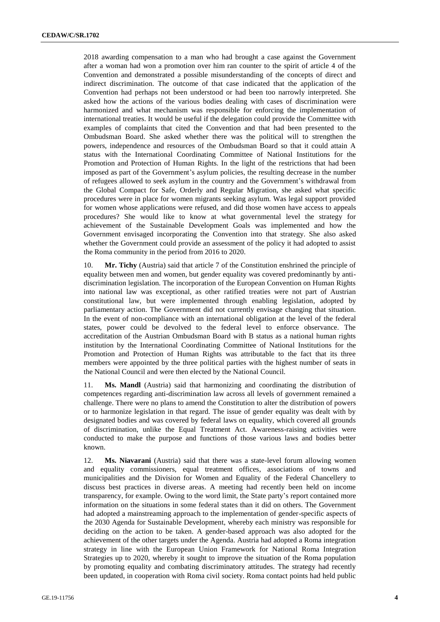2018 awarding compensation to a man who had brought a case against the Government after a woman had won a promotion over him ran counter to the spirit of article 4 of the Convention and demonstrated a possible misunderstanding of the concepts of direct and indirect discrimination. The outcome of that case indicated that the application of the Convention had perhaps not been understood or had been too narrowly interpreted. She asked how the actions of the various bodies dealing with cases of discrimination were harmonized and what mechanism was responsible for enforcing the implementation of international treaties. It would be useful if the delegation could provide the Committee with examples of complaints that cited the Convention and that had been presented to the Ombudsman Board. She asked whether there was the political will to strengthen the powers, independence and resources of the Ombudsman Board so that it could attain A status with the International Coordinating Committee of National Institutions for the Promotion and Protection of Human Rights. In the light of the restrictions that had been imposed as part of the Government's asylum policies, the resulting decrease in the number of refugees allowed to seek asylum in the country and the Government's withdrawal from the Global Compact for Safe, Orderly and Regular Migration, she asked what specific procedures were in place for women migrants seeking asylum. Was legal support provided for women whose applications were refused, and did those women have access to appeals procedures? She would like to know at what governmental level the strategy for achievement of the Sustainable Development Goals was implemented and how the Government envisaged incorporating the Convention into that strategy. She also asked whether the Government could provide an assessment of the policy it had adopted to assist the Roma community in the period from 2016 to 2020.

10. **Mr. Tichy** (Austria) said that article 7 of the Constitution enshrined the principle of equality between men and women, but gender equality was covered predominantly by antidiscrimination legislation. The incorporation of the European Convention on Human Rights into national law was exceptional, as other ratified treaties were not part of Austrian constitutional law, but were implemented through enabling legislation, adopted by parliamentary action. The Government did not currently envisage changing that situation. In the event of non-compliance with an international obligation at the level of the federal states, power could be devolved to the federal level to enforce observance. The accreditation of the Austrian Ombudsman Board with B status as a national human rights institution by the International Coordinating Committee of National Institutions for the Promotion and Protection of Human Rights was attributable to the fact that its three members were appointed by the three political parties with the highest number of seats in the National Council and were then elected by the National Council.

11. **Ms. Mandl** (Austria) said that harmonizing and coordinating the distribution of competences regarding anti-discrimination law across all levels of government remained a challenge. There were no plans to amend the Constitution to alter the distribution of powers or to harmonize legislation in that regard. The issue of gender equality was dealt with by designated bodies and was covered by federal laws on equality, which covered all grounds of discrimination, unlike the Equal Treatment Act. Awareness-raising activities were conducted to make the purpose and functions of those various laws and bodies better known.

12. **Ms. Niavarani** (Austria) said that there was a state-level forum allowing women and equality commissioners, equal treatment offices, associations of towns and municipalities and the Division for Women and Equality of the Federal Chancellery to discuss best practices in diverse areas. A meeting had recently been held on income transparency, for example. Owing to the word limit, the State party's report contained more information on the situations in some federal states than it did on others. The Government had adopted a mainstreaming approach to the implementation of gender-specific aspects of the 2030 Agenda for Sustainable Development, whereby each ministry was responsible for deciding on the action to be taken. A gender-based approach was also adopted for the achievement of the other targets under the Agenda. Austria had adopted a Roma integration strategy in line with the European Union Framework for National Roma Integration Strategies up to 2020, whereby it sought to improve the situation of the Roma population by promoting equality and combating discriminatory attitudes. The strategy had recently been updated, in cooperation with Roma civil society. Roma contact points had held public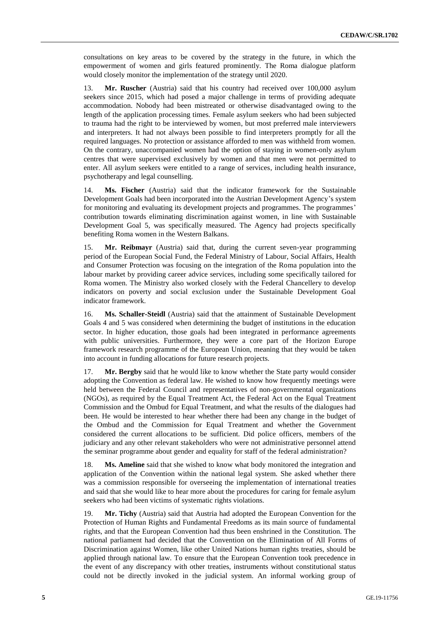consultations on key areas to be covered by the strategy in the future, in which the empowerment of women and girls featured prominently. The Roma dialogue platform would closely monitor the implementation of the strategy until 2020.

13. **Mr. Ruscher** (Austria) said that his country had received over 100,000 asylum seekers since 2015, which had posed a major challenge in terms of providing adequate accommodation. Nobody had been mistreated or otherwise disadvantaged owing to the length of the application processing times. Female asylum seekers who had been subjected to trauma had the right to be interviewed by women, but most preferred male interviewers and interpreters. It had not always been possible to find interpreters promptly for all the required languages. No protection or assistance afforded to men was withheld from women. On the contrary, unaccompanied women had the option of staying in women-only asylum centres that were supervised exclusively by women and that men were not permitted to enter. All asylum seekers were entitled to a range of services, including health insurance, psychotherapy and legal counselling.

14. **Ms. Fischer** (Austria) said that the indicator framework for the Sustainable Development Goals had been incorporated into the Austrian Development Agency's system for monitoring and evaluating its development projects and programmes. The programmes' contribution towards eliminating discrimination against women, in line with Sustainable Development Goal 5, was specifically measured. The Agency had projects specifically benefiting Roma women in the Western Balkans.

15. **Mr. Reibmayr** (Austria) said that, during the current seven-year programming period of the European Social Fund, the Federal Ministry of Labour, Social Affairs, Health and Consumer Protection was focusing on the integration of the Roma population into the labour market by providing career advice services, including some specifically tailored for Roma women. The Ministry also worked closely with the Federal Chancellery to develop indicators on poverty and social exclusion under the Sustainable Development Goal indicator framework.

16. **Ms. Schaller-Steidl** (Austria) said that the attainment of Sustainable Development Goals 4 and 5 was considered when determining the budget of institutions in the education sector. In higher education, those goals had been integrated in performance agreements with public universities. Furthermore, they were a core part of the Horizon Europe framework research programme of the European Union, meaning that they would be taken into account in funding allocations for future research projects.

17. **Mr. Bergby** said that he would like to know whether the State party would consider adopting the Convention as federal law. He wished to know how frequently meetings were held between the Federal Council and representatives of non-governmental organizations (NGOs), as required by the Equal Treatment Act, the Federal Act on the Equal Treatment Commission and the Ombud for Equal Treatment, and what the results of the dialogues had been. He would be interested to hear whether there had been any change in the budget of the Ombud and the Commission for Equal Treatment and whether the Government considered the current allocations to be sufficient. Did police officers, members of the judiciary and any other relevant stakeholders who were not administrative personnel attend the seminar programme about gender and equality for staff of the federal administration?

18. **Ms. Ameline** said that she wished to know what body monitored the integration and application of the Convention within the national legal system. She asked whether there was a commission responsible for overseeing the implementation of international treaties and said that she would like to hear more about the procedures for caring for female asylum seekers who had been victims of systematic rights violations.

19. **Mr. Tichy** (Austria) said that Austria had adopted the European Convention for the Protection of Human Rights and Fundamental Freedoms as its main source of fundamental rights, and that the European Convention had thus been enshrined in the Constitution. The national parliament had decided that the Convention on the Elimination of All Forms of Discrimination against Women, like other United Nations human rights treaties, should be applied through national law. To ensure that the European Convention took precedence in the event of any discrepancy with other treaties, instruments without constitutional status could not be directly invoked in the judicial system. An informal working group of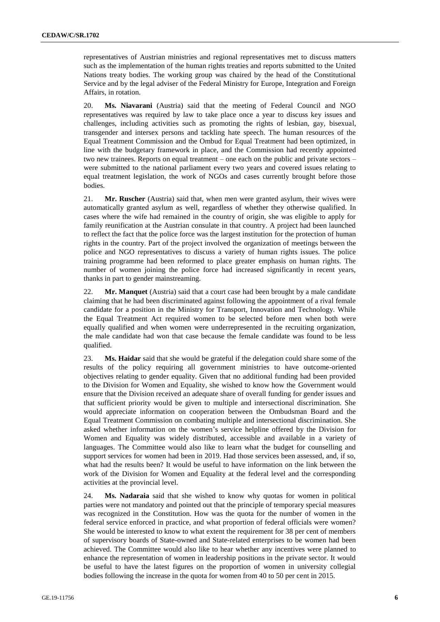representatives of Austrian ministries and regional representatives met to discuss matters such as the implementation of the human rights treaties and reports submitted to the United Nations treaty bodies. The working group was chaired by the head of the Constitutional Service and by the legal adviser of the Federal Ministry for Europe, Integration and Foreign Affairs, in rotation.

20. **Ms. Niavarani** (Austria) said that the meeting of Federal Council and NGO representatives was required by law to take place once a year to discuss key issues and challenges, including activities such as promoting the rights of lesbian, gay, bisexual, transgender and intersex persons and tackling hate speech. The human resources of the Equal Treatment Commission and the Ombud for Equal Treatment had been optimized, in line with the budgetary framework in place, and the Commission had recently appointed two new trainees. Reports on equal treatment – one each on the public and private sectors – were submitted to the national parliament every two years and covered issues relating to equal treatment legislation, the work of NGOs and cases currently brought before those bodies.

21. **Mr. Ruscher** (Austria) said that, when men were granted asylum, their wives were automatically granted asylum as well, regardless of whether they otherwise qualified. In cases where the wife had remained in the country of origin, she was eligible to apply for family reunification at the Austrian consulate in that country. A project had been launched to reflect the fact that the police force was the largest institution for the protection of human rights in the country. Part of the project involved the organization of meetings between the police and NGO representatives to discuss a variety of human rights issues. The police training programme had been reformed to place greater emphasis on human rights. The number of women joining the police force had increased significantly in recent years, thanks in part to gender mainstreaming.

22. **Mr. Manquet** (Austria) said that a court case had been brought by a male candidate claiming that he had been discriminated against following the appointment of a rival female candidate for a position in the Ministry for Transport, Innovation and Technology. While the Equal Treatment Act required women to be selected before men when both were equally qualified and when women were underrepresented in the recruiting organization, the male candidate had won that case because the female candidate was found to be less qualified.

23. **Ms. Haidar** said that she would be grateful if the delegation could share some of the results of the policy requiring all government ministries to have outcome-oriented objectives relating to gender equality. Given that no additional funding had been provided to the Division for Women and Equality, she wished to know how the Government would ensure that the Division received an adequate share of overall funding for gender issues and that sufficient priority would be given to multiple and intersectional discrimination. She would appreciate information on cooperation between the Ombudsman Board and the Equal Treatment Commission on combating multiple and intersectional discrimination. She asked whether information on the women's service helpline offered by the Division for Women and Equality was widely distributed, accessible and available in a variety of languages. The Committee would also like to learn what the budget for counselling and support services for women had been in 2019. Had those services been assessed, and, if so, what had the results been? It would be useful to have information on the link between the work of the Division for Women and Equality at the federal level and the corresponding activities at the provincial level.

24. **Ms. Nadaraia** said that she wished to know why quotas for women in political parties were not mandatory and pointed out that the principle of temporary special measures was recognized in the Constitution. How was the quota for the number of women in the federal service enforced in practice, and what proportion of federal officials were women? She would be interested to know to what extent the requirement for 38 per cent of members of supervisory boards of State-owned and State-related enterprises to be women had been achieved. The Committee would also like to hear whether any incentives were planned to enhance the representation of women in leadership positions in the private sector. It would be useful to have the latest figures on the proportion of women in university collegial bodies following the increase in the quota for women from 40 to 50 per cent in 2015.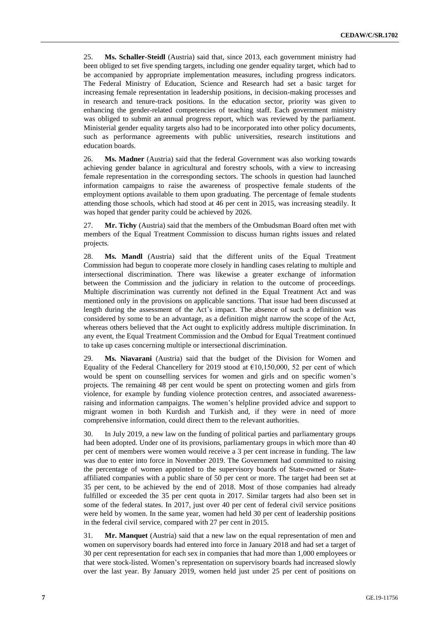25. **Ms. Schaller-Steidl** (Austria) said that, since 2013, each government ministry had been obliged to set five spending targets, including one gender equality target, which had to be accompanied by appropriate implementation measures, including progress indicators. The Federal Ministry of Education, Science and Research had set a basic target for increasing female representation in leadership positions, in decision-making processes and in research and tenure-track positions. In the education sector, priority was given to enhancing the gender-related competencies of teaching staff. Each government ministry was obliged to submit an annual progress report, which was reviewed by the parliament. Ministerial gender equality targets also had to be incorporated into other policy documents, such as performance agreements with public universities, research institutions and education boards.

26. **Ms. Madner** (Austria) said that the federal Government was also working towards achieving gender balance in agricultural and forestry schools, with a view to increasing female representation in the corresponding sectors. The schools in question had launched information campaigns to raise the awareness of prospective female students of the employment options available to them upon graduating. The percentage of female students attending those schools, which had stood at 46 per cent in 2015, was increasing steadily. It was hoped that gender parity could be achieved by 2026.

27. **Mr. Tichy** (Austria) said that the members of the Ombudsman Board often met with members of the Equal Treatment Commission to discuss human rights issues and related projects.

28. **Ms. Mandl** (Austria) said that the different units of the Equal Treatment Commission had begun to cooperate more closely in handling cases relating to multiple and intersectional discrimination. There was likewise a greater exchange of information between the Commission and the judiciary in relation to the outcome of proceedings. Multiple discrimination was currently not defined in the Equal Treatment Act and was mentioned only in the provisions on applicable sanctions. That issue had been discussed at length during the assessment of the Act's impact. The absence of such a definition was considered by some to be an advantage, as a definition might narrow the scope of the Act, whereas others believed that the Act ought to explicitly address multiple discrimination. In any event, the Equal Treatment Commission and the Ombud for Equal Treatment continued to take up cases concerning multiple or intersectional discrimination.

Ms. Niavarani (Austria) said that the budget of the Division for Women and Equality of the Federal Chancellery for 2019 stood at  $€10,150,000, 52$  per cent of which would be spent on counselling services for women and girls and on specific women's projects. The remaining 48 per cent would be spent on protecting women and girls from violence, for example by funding violence protection centres, and associated awarenessraising and information campaigns. The women's helpline provided advice and support to migrant women in both Kurdish and Turkish and, if they were in need of more comprehensive information, could direct them to the relevant authorities.

30. In July 2019, a new law on the funding of political parties and parliamentary groups had been adopted. Under one of its provisions, parliamentary groups in which more than 40 per cent of members were women would receive a 3 per cent increase in funding. The law was due to enter into force in November 2019. The Government had committed to raising the percentage of women appointed to the supervisory boards of State-owned or Stateaffiliated companies with a public share of 50 per cent or more. The target had been set at 35 per cent, to be achieved by the end of 2018. Most of those companies had already fulfilled or exceeded the 35 per cent quota in 2017. Similar targets had also been set in some of the federal states. In 2017, just over 40 per cent of federal civil service positions were held by women. In the same year, women had held 30 per cent of leadership positions in the federal civil service, compared with 27 per cent in 2015.

31. **Mr. Manquet** (Austria) said that a new law on the equal representation of men and women on supervisory boards had entered into force in January 2018 and had set a target of 30 per cent representation for each sex in companies that had more than 1,000 employees or that were stock-listed. Women's representation on supervisory boards had increased slowly over the last year. By January 2019, women held just under 25 per cent of positions on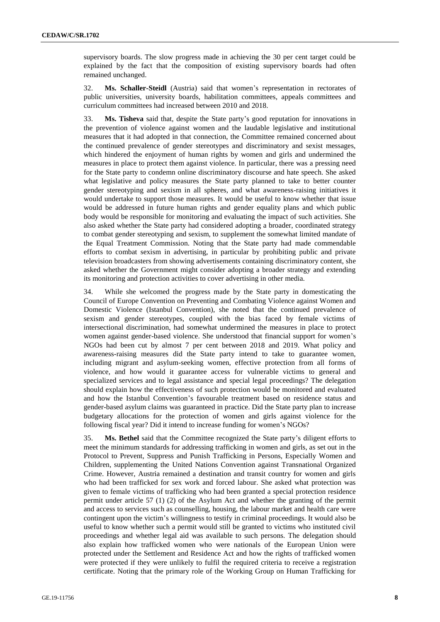supervisory boards. The slow progress made in achieving the 30 per cent target could be explained by the fact that the composition of existing supervisory boards had often remained unchanged.

32. **Ms. Schaller-Steidl** (Austria) said that women's representation in rectorates of public universities, university boards, habilitation committees, appeals committees and curriculum committees had increased between 2010 and 2018.

33. **Ms. Tisheva** said that, despite the State party's good reputation for innovations in the prevention of violence against women and the laudable legislative and institutional measures that it had adopted in that connection, the Committee remained concerned about the continued prevalence of gender stereotypes and discriminatory and sexist messages, which hindered the enjoyment of human rights by women and girls and undermined the measures in place to protect them against violence. In particular, there was a pressing need for the State party to condemn online discriminatory discourse and hate speech. She asked what legislative and policy measures the State party planned to take to better counter gender stereotyping and sexism in all spheres, and what awareness-raising initiatives it would undertake to support those measures. It would be useful to know whether that issue would be addressed in future human rights and gender equality plans and which public body would be responsible for monitoring and evaluating the impact of such activities. She also asked whether the State party had considered adopting a broader, coordinated strategy to combat gender stereotyping and sexism, to supplement the somewhat limited mandate of the Equal Treatment Commission. Noting that the State party had made commendable efforts to combat sexism in advertising, in particular by prohibiting public and private television broadcasters from showing advertisements containing discriminatory content, she asked whether the Government might consider adopting a broader strategy and extending its monitoring and protection activities to cover advertising in other media.

34. While she welcomed the progress made by the State party in domesticating the Council of Europe Convention on Preventing and Combating Violence against Women and Domestic Violence (Istanbul Convention), she noted that the continued prevalence of sexism and gender stereotypes, coupled with the bias faced by female victims of intersectional discrimination, had somewhat undermined the measures in place to protect women against gender-based violence. She understood that financial support for women's NGOs had been cut by almost 7 per cent between 2018 and 2019. What policy and awareness-raising measures did the State party intend to take to guarantee women, including migrant and asylum-seeking women, effective protection from all forms of violence, and how would it guarantee access for vulnerable victims to general and specialized services and to legal assistance and special legal proceedings? The delegation should explain how the effectiveness of such protection would be monitored and evaluated and how the Istanbul Convention's favourable treatment based on residence status and gender-based asylum claims was guaranteed in practice. Did the State party plan to increase budgetary allocations for the protection of women and girls against violence for the following fiscal year? Did it intend to increase funding for women's NGOs?

35. **Ms. Bethel** said that the Committee recognized the State party's diligent efforts to meet the minimum standards for addressing trafficking in women and girls, as set out in the Protocol to Prevent, Suppress and Punish Trafficking in Persons, Especially Women and Children, supplementing the United Nations Convention against Transnational Organized Crime. However, Austria remained a destination and transit country for women and girls who had been trafficked for sex work and forced labour. She asked what protection was given to female victims of trafficking who had been granted a special protection residence permit under article 57 (1) (2) of the Asylum Act and whether the granting of the permit and access to services such as counselling, housing, the labour market and health care were contingent upon the victim's willingness to testify in criminal proceedings. It would also be useful to know whether such a permit would still be granted to victims who instituted civil proceedings and whether legal aid was available to such persons. The delegation should also explain how trafficked women who were nationals of the European Union were protected under the Settlement and Residence Act and how the rights of trafficked women were protected if they were unlikely to fulfil the required criteria to receive a registration certificate. Noting that the primary role of the Working Group on Human Trafficking for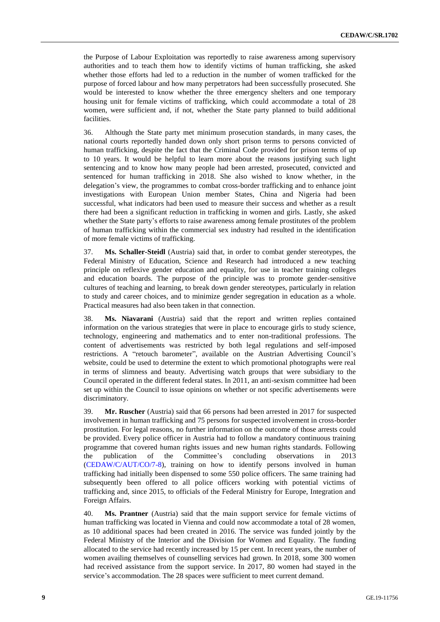the Purpose of Labour Exploitation was reportedly to raise awareness among supervisory authorities and to teach them how to identify victims of human trafficking, she asked whether those efforts had led to a reduction in the number of women trafficked for the purpose of forced labour and how many perpetrators had been successfully prosecuted. She would be interested to know whether the three emergency shelters and one temporary housing unit for female victims of trafficking, which could accommodate a total of 28 women, were sufficient and, if not, whether the State party planned to build additional facilities.

36. Although the State party met minimum prosecution standards, in many cases, the national courts reportedly handed down only short prison terms to persons convicted of human trafficking, despite the fact that the Criminal Code provided for prison terms of up to 10 years. It would be helpful to learn more about the reasons justifying such light sentencing and to know how many people had been arrested, prosecuted, convicted and sentenced for human trafficking in 2018. She also wished to know whether, in the delegation's view, the programmes to combat cross-border trafficking and to enhance joint investigations with European Union member States, China and Nigeria had been successful, what indicators had been used to measure their success and whether as a result there had been a significant reduction in trafficking in women and girls. Lastly, she asked whether the State party's efforts to raise awareness among female prostitutes of the problem of human trafficking within the commercial sex industry had resulted in the identification of more female victims of trafficking.

37. **Ms. Schaller-Steidl** (Austria) said that, in order to combat gender stereotypes, the Federal Ministry of Education, Science and Research had introduced a new teaching principle on reflexive gender education and equality, for use in teacher training colleges and education boards. The purpose of the principle was to promote gender-sensitive cultures of teaching and learning, to break down gender stereotypes, particularly in relation to study and career choices, and to minimize gender segregation in education as a whole. Practical measures had also been taken in that connection.

38. **Ms. Niavarani** (Austria) said that the report and written replies contained information on the various strategies that were in place to encourage girls to study science, technology, engineering and mathematics and to enter non-traditional professions. The content of advertisements was restricted by both legal regulations and self-imposed restrictions. A "retouch barometer", available on the Austrian Advertising Council's website, could be used to determine the extent to which promotional photographs were real in terms of slimness and beauty. Advertising watch groups that were subsidiary to the Council operated in the different federal states. In 2011, an anti-sexism committee had been set up within the Council to issue opinions on whether or not specific advertisements were discriminatory.

39. **Mr. Ruscher** (Austria) said that 66 persons had been arrested in 2017 for suspected involvement in human trafficking and 75 persons for suspected involvement in cross-border prostitution. For legal reasons, no further information on the outcome of those arrests could be provided. Every police officer in Austria had to follow a mandatory continuous training programme that covered human rights issues and new human rights standards. Following the publication of the Committee's concluding observations in 2013 [\(CEDAW/C/AUT/CO/7-8\)](http://undocs.org/en/CEDAW/C/AUT/CO/7-8), training on how to identify persons involved in human trafficking had initially been dispensed to some 550 police officers. The same training had subsequently been offered to all police officers working with potential victims of trafficking and, since 2015, to officials of the Federal Ministry for Europe, Integration and Foreign Affairs.

40. **Ms. Prantner** (Austria) said that the main support service for female victims of human trafficking was located in Vienna and could now accommodate a total of 28 women, as 10 additional spaces had been created in 2016. The service was funded jointly by the Federal Ministry of the Interior and the Division for Women and Equality. The funding allocated to the service had recently increased by 15 per cent. In recent years, the number of women availing themselves of counselling services had grown. In 2018, some 300 women had received assistance from the support service. In 2017, 80 women had stayed in the service's accommodation. The 28 spaces were sufficient to meet current demand.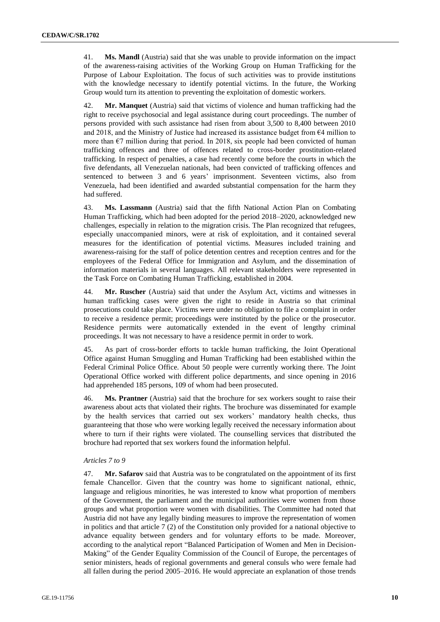41. **Ms. Mandl** (Austria) said that she was unable to provide information on the impact of the awareness-raising activities of the Working Group on Human Trafficking for the Purpose of Labour Exploitation. The focus of such activities was to provide institutions with the knowledge necessary to identify potential victims. In the future, the Working Group would turn its attention to preventing the exploitation of domestic workers.

42. **Mr. Manquet** (Austria) said that victims of violence and human trafficking had the right to receive psychosocial and legal assistance during court proceedings. The number of persons provided with such assistance had risen from about 3,500 to 8,400 between 2010 and 2018, and the Ministry of Justice had increased its assistance budget from  $64$  million to more than  $\epsilon$ 7 million during that period. In 2018, six people had been convicted of human trafficking offences and three of offences related to cross-border prostitution-related trafficking. In respect of penalties, a case had recently come before the courts in which the five defendants, all Venezuelan nationals, had been convicted of trafficking offences and sentenced to between 3 and 6 years' imprisonment. Seventeen victims, also from Venezuela, had been identified and awarded substantial compensation for the harm they had suffered.

43. **Ms. Lassmann** (Austria) said that the fifth National Action Plan on Combating Human Trafficking, which had been adopted for the period 2018–2020, acknowledged new challenges, especially in relation to the migration crisis. The Plan recognized that refugees, especially unaccompanied minors, were at risk of exploitation, and it contained several measures for the identification of potential victims. Measures included training and awareness-raising for the staff of police detention centres and reception centres and for the employees of the Federal Office for Immigration and Asylum, and the dissemination of information materials in several languages. All relevant stakeholders were represented in the Task Force on Combating Human Trafficking, established in 2004.

44. **Mr. Ruscher** (Austria) said that under the Asylum Act, victims and witnesses in human trafficking cases were given the right to reside in Austria so that criminal prosecutions could take place. Victims were under no obligation to file a complaint in order to receive a residence permit; proceedings were instituted by the police or the prosecutor. Residence permits were automatically extended in the event of lengthy criminal proceedings. It was not necessary to have a residence permit in order to work.

45. As part of cross-border efforts to tackle human trafficking, the Joint Operational Office against Human Smuggling and Human Trafficking had been established within the Federal Criminal Police Office. About 50 people were currently working there. The Joint Operational Office worked with different police departments, and since opening in 2016 had apprehended 185 persons, 109 of whom had been prosecuted.

46. **Ms. Prantner** (Austria) said that the brochure for sex workers sought to raise their awareness about acts that violated their rights. The brochure was disseminated for example by the health services that carried out sex workers' mandatory health checks, thus guaranteeing that those who were working legally received the necessary information about where to turn if their rights were violated. The counselling services that distributed the brochure had reported that sex workers found the information helpful.

### *Articles 7 to 9*

47. **Mr. Safarov** said that Austria was to be congratulated on the appointment of its first female Chancellor. Given that the country was home to significant national, ethnic, language and religious minorities, he was interested to know what proportion of members of the Government, the parliament and the municipal authorities were women from those groups and what proportion were women with disabilities. The Committee had noted that Austria did not have any legally binding measures to improve the representation of women in politics and that article 7 (2) of the Constitution only provided for a national objective to advance equality between genders and for voluntary efforts to be made. Moreover, according to the analytical report "Balanced Participation of Women and Men in Decision-Making" of the Gender Equality Commission of the Council of Europe, the percentages of senior ministers, heads of regional governments and general consuls who were female had all fallen during the period 2005–2016. He would appreciate an explanation of those trends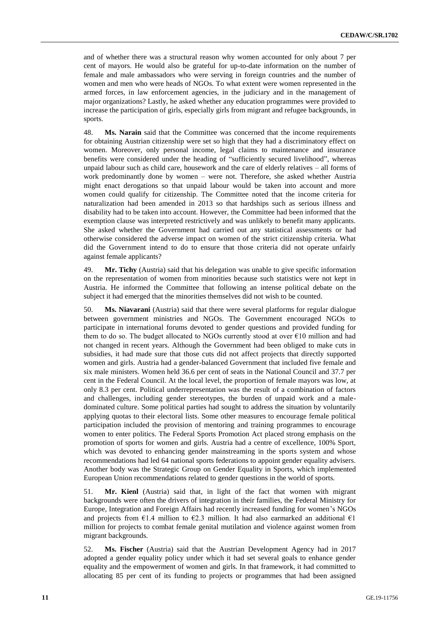and of whether there was a structural reason why women accounted for only about 7 per cent of mayors. He would also be grateful for up-to-date information on the number of female and male ambassadors who were serving in foreign countries and the number of women and men who were heads of NGOs. To what extent were women represented in the armed forces, in law enforcement agencies, in the judiciary and in the management of major organizations? Lastly, he asked whether any education programmes were provided to increase the participation of girls, especially girls from migrant and refugee backgrounds, in sports.

48. **Ms. Narain** said that the Committee was concerned that the income requirements for obtaining Austrian citizenship were set so high that they had a discriminatory effect on women. Moreover, only personal income, legal claims to maintenance and insurance benefits were considered under the heading of "sufficiently secured livelihood", whereas unpaid labour such as child care, housework and the care of elderly relatives – all forms of work predominantly done by women – were not. Therefore, she asked whether Austria might enact derogations so that unpaid labour would be taken into account and more women could qualify for citizenship. The Committee noted that the income criteria for naturalization had been amended in 2013 so that hardships such as serious illness and disability had to be taken into account. However, the Committee had been informed that the exemption clause was interpreted restrictively and was unlikely to benefit many applicants. She asked whether the Government had carried out any statistical assessments or had otherwise considered the adverse impact on women of the strict citizenship criteria. What did the Government intend to do to ensure that those criteria did not operate unfairly against female applicants?

49. **Mr. Tichy** (Austria) said that his delegation was unable to give specific information on the representation of women from minorities because such statistics were not kept in Austria. He informed the Committee that following an intense political debate on the subject it had emerged that the minorities themselves did not wish to be counted.

50. **Ms. Niavarani** (Austria) said that there were several platforms for regular dialogue between government ministries and NGOs. The Government encouraged NGOs to participate in international forums devoted to gender questions and provided funding for them to do so. The budget allocated to NGOs currently stood at over €10 million and had not changed in recent years. Although the Government had been obliged to make cuts in subsidies, it had made sure that those cuts did not affect projects that directly supported women and girls. Austria had a gender-balanced Government that included five female and six male ministers. Women held 36.6 per cent of seats in the National Council and 37.7 per cent in the Federal Council. At the local level, the proportion of female mayors was low, at only 8.3 per cent. Political underrepresentation was the result of a combination of factors and challenges, including gender stereotypes, the burden of unpaid work and a maledominated culture. Some political parties had sought to address the situation by voluntarily applying quotas to their electoral lists. Some other measures to encourage female political participation included the provision of mentoring and training programmes to encourage women to enter politics. The Federal Sports Promotion Act placed strong emphasis on the promotion of sports for women and girls. Austria had a centre of excellence, 100% Sport, which was devoted to enhancing gender mainstreaming in the sports system and whose recommendations had led 64 national sports federations to appoint gender equality advisers. Another body was the Strategic Group on Gender Equality in Sports, which implemented European Union recommendations related to gender questions in the world of sports.

51. **Mr. Kienl** (Austria) said that, in light of the fact that women with migrant backgrounds were often the drivers of integration in their families, the Federal Ministry for Europe, Integration and Foreign Affairs had recently increased funding for women's NGOs and projects from  $\epsilon$ 1.4 million to  $\epsilon$ 2.3 million. It had also earmarked an additional  $\epsilon$ 1 million for projects to combat female genital mutilation and violence against women from migrant backgrounds.

52. **Ms. Fischer** (Austria) said that the Austrian Development Agency had in 2017 adopted a gender equality policy under which it had set several goals to enhance gender equality and the empowerment of women and girls. In that framework, it had committed to allocating 85 per cent of its funding to projects or programmes that had been assigned